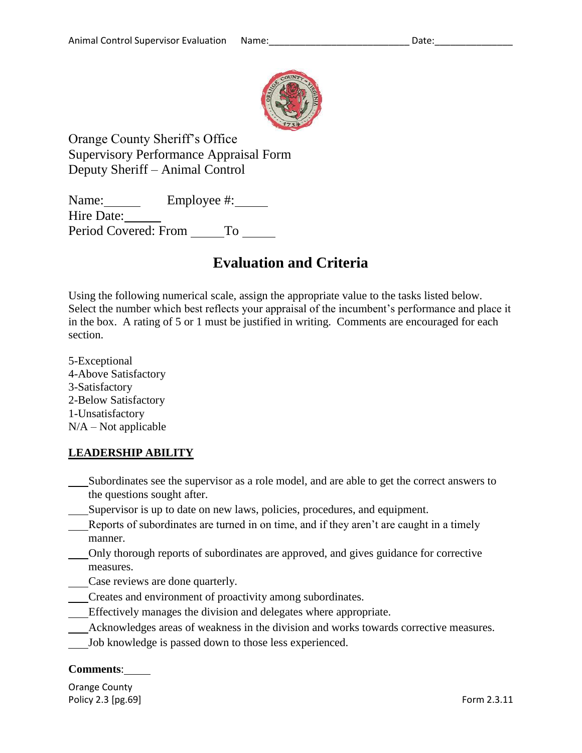

Orange County Sheriff's Office Supervisory Performance Appraisal Form Deputy Sheriff – Animal Control

Name: Employee #: Hire Date: Period Covered: From To

# **Evaluation and Criteria**

Using the following numerical scale, assign the appropriate value to the tasks listed below. Select the number which best reflects your appraisal of the incumbent's performance and place it in the box. A rating of 5 or 1 must be justified in writing. Comments are encouraged for each section.

5-Exceptional 4-Above Satisfactory 3-Satisfactory 2-Below Satisfactory 1-Unsatisfactory  $N/A - Not$  applicable

# **LEADERSHIP ABILITY**

- Subordinates see the supervisor as a role model, and are able to get the correct answers to the questions sought after.
- Supervisor is up to date on new laws, policies, procedures, and equipment.
- Reports of subordinates are turned in on time, and if they aren't are caught in a timely manner.
- Only thorough reports of subordinates are approved, and gives guidance for corrective measures.
- Case reviews are done quarterly.
- Creates and environment of proactivity among subordinates.
- Effectively manages the division and delegates where appropriate.
- Acknowledges areas of weakness in the division and works towards corrective measures.
- Job knowledge is passed down to those less experienced.

#### **Comments**:

Orange County Policy 2.3 [pg.69] Form 2.3.11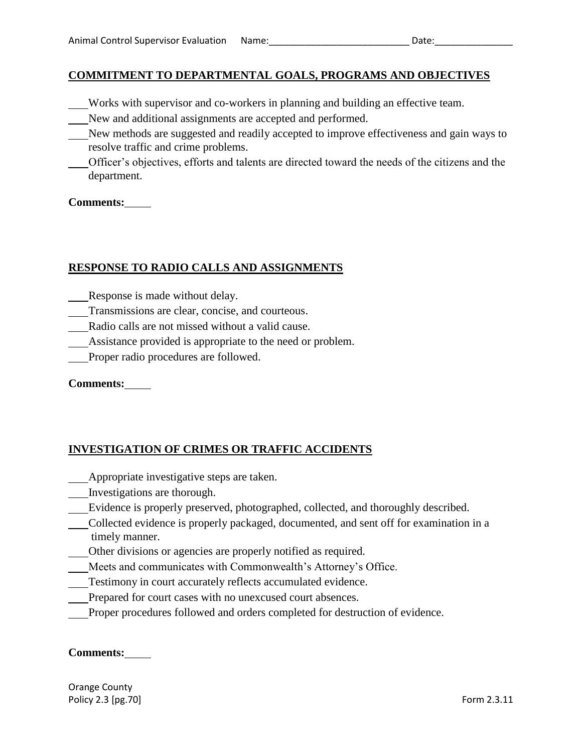### **COMMITMENT TO DEPARTMENTAL GOALS, PROGRAMS AND OBJECTIVES**

- Works with supervisor and co-workers in planning and building an effective team.
- New and additional assignments are accepted and performed.
- New methods are suggested and readily accepted to improve effectiveness and gain ways to resolve traffic and crime problems.
- Officer's objectives, efforts and talents are directed toward the needs of the citizens and the department.

#### **Comments:**

#### **RESPONSE TO RADIO CALLS AND ASSIGNMENTS**

- Response is made without delay.
- Transmissions are clear, concise, and courteous.
- Radio calls are not missed without a valid cause.
- Assistance provided is appropriate to the need or problem.
- Proper radio procedures are followed.

**Comments:**

# **INVESTIGATION OF CRIMES OR TRAFFIC ACCIDENTS**

- Appropriate investigative steps are taken.
- Investigations are thorough.
- Evidence is properly preserved, photographed, collected, and thoroughly described.
- Collected evidence is properly packaged, documented, and sent off for examination in a timely manner.
- Other divisions or agencies are properly notified as required.
- Meets and communicates with Commonwealth's Attorney's Office.
- Testimony in court accurately reflects accumulated evidence.
- Prepared for court cases with no unexcused court absences.
- Proper procedures followed and orders completed for destruction of evidence.

#### **Comments:**

Orange County Policy 2.3 [pg.70] Form 2.3.11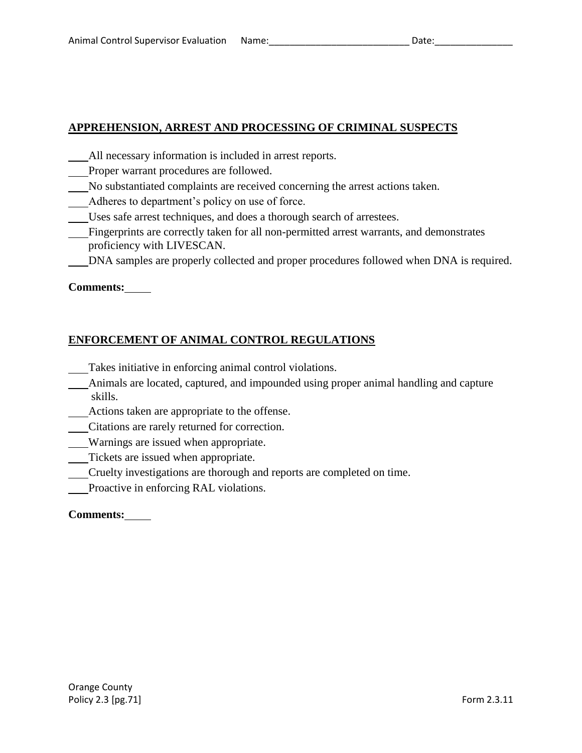### **APPREHENSION, ARREST AND PROCESSING OF CRIMINAL SUSPECTS**

- All necessary information is included in arrest reports.
- Proper warrant procedures are followed.
- No substantiated complaints are received concerning the arrest actions taken.
- Adheres to department's policy on use of force.
- Uses safe arrest techniques, and does a thorough search of arrestees.
- Fingerprints are correctly taken for all non-permitted arrest warrants, and demonstrates proficiency with LIVESCAN.
- DNA samples are properly collected and proper procedures followed when DNA is required.

**Comments:**

# **ENFORCEMENT OF ANIMAL CONTROL REGULATIONS**

- Takes initiative in enforcing animal control violations.
- Animals are located, captured, and impounded using proper animal handling and capture skills.
- Actions taken are appropriate to the offense.
- Citations are rarely returned for correction.
- Warnings are issued when appropriate.
- Tickets are issued when appropriate.
- Cruelty investigations are thorough and reports are completed on time.
- Proactive in enforcing RAL violations.

#### **Comments:**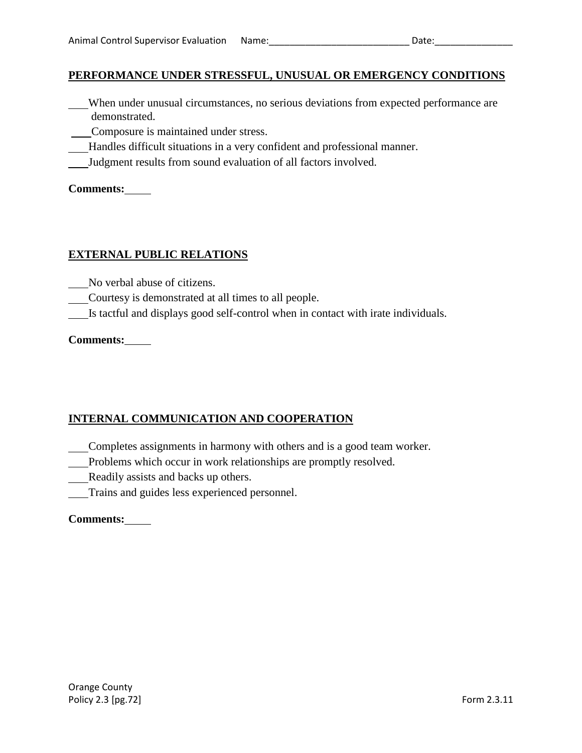#### **PERFORMANCE UNDER STRESSFUL, UNUSUAL OR EMERGENCY CONDITIONS**

- When under unusual circumstances, no serious deviations from expected performance are demonstrated.
- Composure is maintained under stress.
- Handles difficult situations in a very confident and professional manner.
- Judgment results from sound evaluation of all factors involved.

**Comments:**

#### **EXTERNAL PUBLIC RELATIONS**

- No verbal abuse of citizens.
- Courtesy is demonstrated at all times to all people.
- Is tactful and displays good self-control when in contact with irate individuals.

#### **Comments:**

# **INTERNAL COMMUNICATION AND COOPERATION**

- Completes assignments in harmony with others and is a good team worker.
- Problems which occur in work relationships are promptly resolved.
- Readily assists and backs up others.
- Trains and guides less experienced personnel.

| <b>Comments:</b> |
|------------------|
|------------------|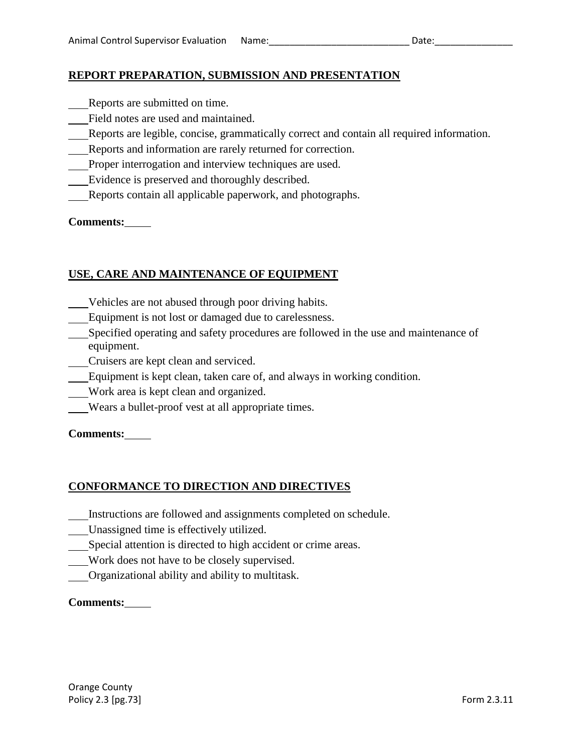# **REPORT PREPARATION, SUBMISSION AND PRESENTATION**

- Reports are submitted on time.
- Field notes are used and maintained.
- Reports are legible, concise, grammatically correct and contain all required information.
- Reports and information are rarely returned for correction.
- Proper interrogation and interview techniques are used.
- Evidence is preserved and thoroughly described.
- Reports contain all applicable paperwork, and photographs.

#### **Comments:**

#### **USE, CARE AND MAINTENANCE OF EQUIPMENT**

- Vehicles are not abused through poor driving habits.
- Equipment is not lost or damaged due to carelessness.
- Specified operating and safety procedures are followed in the use and maintenance of equipment.
- Cruisers are kept clean and serviced.
- Equipment is kept clean, taken care of, and always in working condition.
- Work area is kept clean and organized.
- Wears a bullet-proof vest at all appropriate times.

#### **Comments:**

# **CONFORMANCE TO DIRECTION AND DIRECTIVES**

- Instructions are followed and assignments completed on schedule.
- Unassigned time is effectively utilized.
- Special attention is directed to high accident or crime areas.
- Work does not have to be closely supervised.
- Organizational ability and ability to multitask.

#### **Comments:**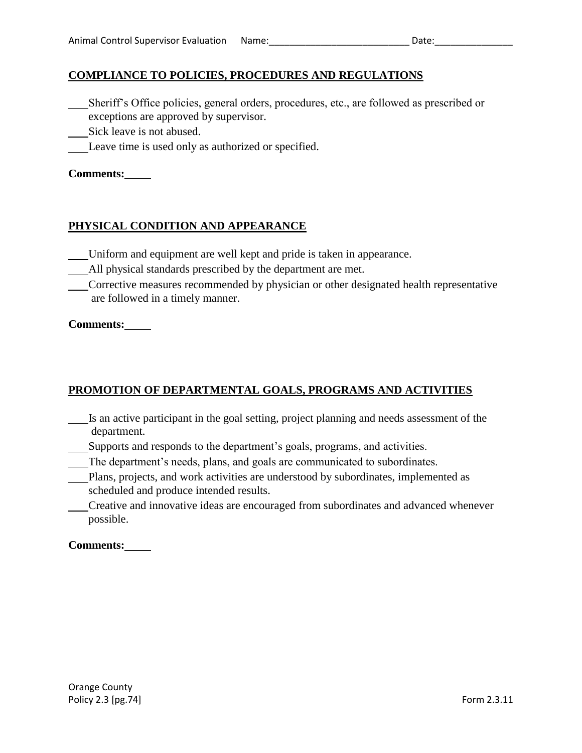# **COMPLIANCE TO POLICIES, PROCEDURES AND REGULATIONS**

- Sheriff's Office policies, general orders, procedures, etc., are followed as prescribed or exceptions are approved by supervisor.
- Sick leave is not abused.
- Leave time is used only as authorized or specified.

#### **Comments:**

# **PHYSICAL CONDITION AND APPEARANCE**

- Uniform and equipment are well kept and pride is taken in appearance.
- All physical standards prescribed by the department are met.
- Corrective measures recommended by physician or other designated health representative are followed in a timely manner.

#### **Comments:**

# **PROMOTION OF DEPARTMENTAL GOALS, PROGRAMS AND ACTIVITIES**

- Is an active participant in the goal setting, project planning and needs assessment of the department.
- Supports and responds to the department's goals, programs, and activities.
- The department's needs, plans, and goals are communicated to subordinates.
- Plans, projects, and work activities are understood by subordinates, implemented as scheduled and produce intended results.
- Creative and innovative ideas are encouraged from subordinates and advanced whenever possible.

#### **Comments:**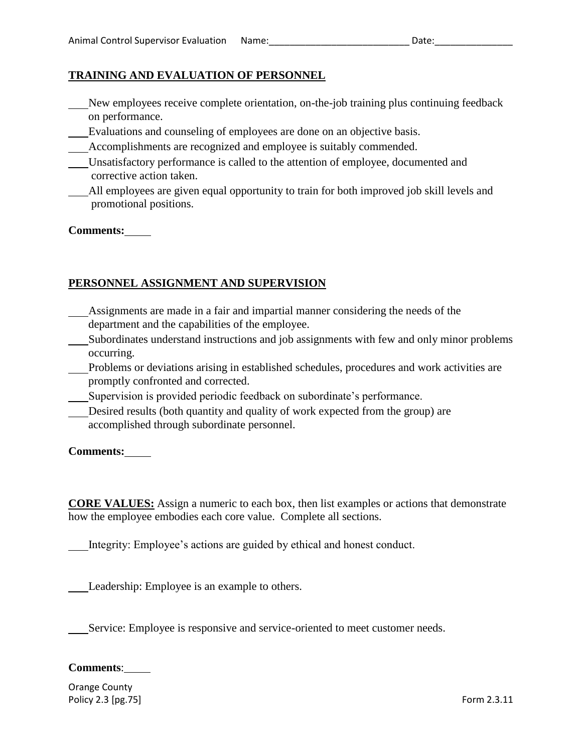#### **TRAINING AND EVALUATION OF PERSONNEL**

- New employees receive complete orientation, on-the-job training plus continuing feedback on performance.
- Evaluations and counseling of employees are done on an objective basis.
- Accomplishments are recognized and employee is suitably commended.
- Unsatisfactory performance is called to the attention of employee, documented and corrective action taken.
- All employees are given equal opportunity to train for both improved job skill levels and promotional positions.

#### **Comments:**

# **PERSONNEL ASSIGNMENT AND SUPERVISION**

- Assignments are made in a fair and impartial manner considering the needs of the department and the capabilities of the employee.
- Subordinates understand instructions and job assignments with few and only minor problems occurring.
- Problems or deviations arising in established schedules, procedures and work activities are promptly confronted and corrected.
- Supervision is provided periodic feedback on subordinate's performance.
- Desired results (both quantity and quality of work expected from the group) are accomplished through subordinate personnel.

**Comments:**

**CORE VALUES:** Assign a numeric to each box, then list examples or actions that demonstrate how the employee embodies each core value. Complete all sections.

Integrity: Employee's actions are guided by ethical and honest conduct.

Leadership: Employee is an example to others.

Service: Employee is responsive and service-oriented to meet customer needs.

#### **Comments**:

Orange County Policy 2.3 [pg.75] Form 2.3.11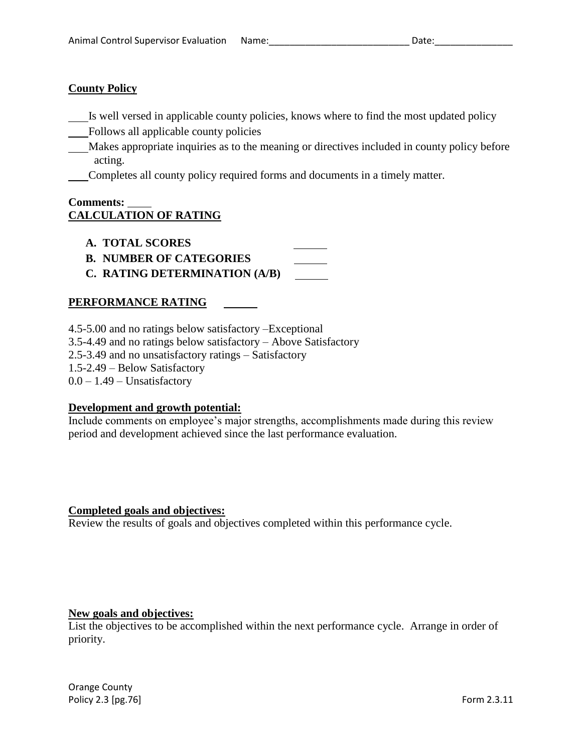# **County Policy**

Is well versed in applicable county policies, knows where to find the most updated policy

- Follows all applicable county policies
- Makes appropriate inquiries as to the meaning or directives included in county policy before acting.
- Completes all county policy required forms and documents in a timely matter.

# **Comments: CALCULATION OF RATING**

- **A. TOTAL SCORES**
- **B. NUMBER OF CATEGORIES**
- **C. RATING DETERMINATION (A/B)**

# **PERFORMANCE RATING**

- 4.5-5.00 and no ratings below satisfactory –Exceptional
- 3.5-4.49 and no ratings below satisfactory Above Satisfactory
- 2.5-3.49 and no unsatisfactory ratings Satisfactory
- 1.5-2.49 Below Satisfactory

 $0.0 - 1.49$  – Unsatisfactory

# **Development and growth potential:**

Include comments on employee's major strengths, accomplishments made during this review period and development achieved since the last performance evaluation.

# **Completed goals and objectives:**

Review the results of goals and objectives completed within this performance cycle.

# **New goals and objectives:**

List the objectives to be accomplished within the next performance cycle. Arrange in order of priority.